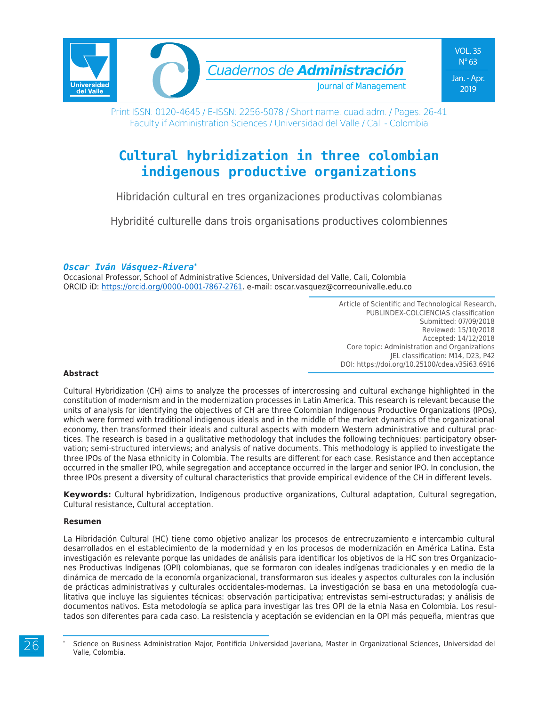

Print ISSN: 0120-4645 / E-ISSN: 2256-5078 / Short name: cuad.adm. / Pages: 26-41 Faculty if Administration Sciences / Universidad del Valle / Cali - Colombia

# **Cultural hybridization in three colombian indigenous productive organizations**

Hibridación cultural en tres organizaciones productivas colombianas

Hybridité culturelle dans trois organisations productives colombiennes

#### *Oscar Iván Vásquez-Rivera\**

Occasional Professor, School of Administrative Sciences, Universidad del Valle, Cali, Colombia ORCID iD: https://orcid.org/0000-0001-7867-2761. e-mail: oscar.vasquez@correounivalle.edu.co

> Article of Scientific and Technological Research, PUBLINDEX-COLCIENCIAS classification Submitted: 07/09/2018 Reviewed: 15/10/2018 Accepted: 14/12/2018 Core topic: Administration and Organizations JEL classification: M14, D23, P42 DOI: https://doi.org/10.25100/cdea.v35i63.6916

#### **Abstract**

Cultural Hybridization (CH) aims to analyze the processes of intercrossing and cultural exchange highlighted in the constitution of modernism and in the modernization processes in Latin America. This research is relevant because the units of analysis for identifying the objectives of CH are three Colombian Indigenous Productive Organizations (IPOs), which were formed with traditional indigenous ideals and in the middle of the market dynamics of the organizational economy, then transformed their ideals and cultural aspects with modern Western administrative and cultural practices. The research is based in a qualitative methodology that includes the following techniques: participatory observation; semi-structured interviews; and analysis of native documents. This methodology is applied to investigate the three IPOs of the Nasa ethnicity in Colombia. The results are different for each case. Resistance and then acceptance occurred in the smaller IPO, while segregation and acceptance occurred in the larger and senior IPO. In conclusion, the three IPOs present a diversity of cultural characteristics that provide empirical evidence of the CH in different levels.

**Keywords:** Cultural hybridization, Indigenous productive organizations, Cultural adaptation, Cultural segregation, Cultural resistance, Cultural acceptation.

#### **Resumen**

La Hibridación Cultural (HC) tiene como objetivo analizar los procesos de entrecruzamiento e intercambio cultural desarrollados en el establecimiento de la modernidad y en los procesos de modernización en América Latina. Esta investigación es relevante porque las unidades de análisis para identificar los objetivos de la HC son tres Organizaciones Productivas Indígenas (OPI) colombianas, que se formaron con ideales indígenas tradicionales y en medio de la dinámica de mercado de la economía organizacional, transformaron sus ideales y aspectos culturales con la inclusión de prácticas administrativas y culturales occidentales-modernas. La investigación se basa en una metodología cualitativa que incluye las siguientes técnicas: observación participativa; entrevistas semi-estructuradas; y análisis de documentos nativos. Esta metodología se aplica para investigar las tres OPI de la etnia Nasa en Colombia. Los resultados son diferentes para cada caso. La resistencia y aceptación se evidencian en la OPI más pequeña, mientras que

<sup>26</sup>

Science on Business Administration Major, Pontificia Universidad Javeriana, Master in Organizational Sciences, Universidad del Valle, Colombia.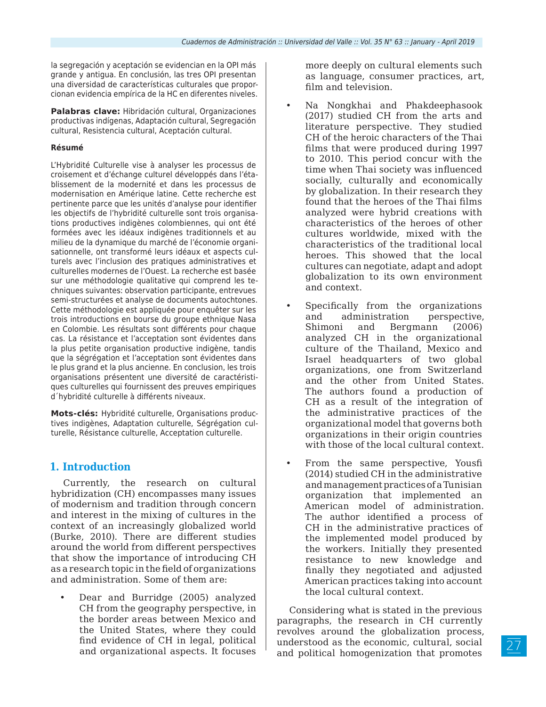la segregación y aceptación se evidencian en la OPI más grande y antigua. En conclusión, las tres OPI presentan una diversidad de características culturales que proporcionan evidencia empírica de la HC en diferentes niveles.

**Palabras clave:** Hibridación cultural, Organizaciones productivas indígenas, Adaptación cultural, Segregación cultural, Resistencia cultural, Aceptación cultural.

#### **Résumé**

L'Hybridité Culturelle vise à analyser les processus de croisement et d'échange culturel développés dans l'établissement de la modernité et dans les processus de modernisation en Amérique latine. Cette recherche est pertinente parce que les unités d'analyse pour identifier les objectifs de l'hybridité culturelle sont trois organisations productives indigènes colombiennes, qui ont été formées avec les idéaux indigènes traditionnels et au milieu de la dynamique du marché de l'économie organisationnelle, ont transformé leurs idéaux et aspects culturels avec l'inclusion des pratiques administratives et culturelles modernes de l'Ouest. La recherche est basée sur une méthodologie qualitative qui comprend les techniques suivantes: observation participante, entrevues semi-structurées et analyse de documents autochtones. Cette méthodologie est appliquée pour enquêter sur les trois introductions en bourse du groupe ethnique Nasa en Colombie. Les résultats sont différents pour chaque cas. La résistance et l'acceptation sont évidentes dans la plus petite organisation productive indigène, tandis que la ségrégation et l'acceptation sont évidentes dans le plus grand et la plus ancienne. En conclusion, les trois organisations présentent une diversité de caractéristiques culturelles qui fournissent des preuves empiriques d´hybridité culturelle à différents niveaux.

**Mots-clés:** Hybridité culturelle, Organisations productives indigènes, Adaptation culturelle, Ségrégation culturelle, Résistance culturelle, Acceptation culturelle.

### **1. Introduction**

Currently, the research on cultural hybridization (CH) encompasses many issues of modernism and tradition through concern and interest in the mixing of cultures in the context of an increasingly globalized world (Burke, 2010). There are different studies around the world from different perspectives that show the importance of introducing CH as a research topic in the field of organizations and administration. Some of them are:

• Dear and Burridge (2005) analyzed CH from the geography perspective, in the border areas between Mexico and the United States, where they could find evidence of CH in legal, political and organizational aspects. It focuses

more deeply on cultural elements such as language, consumer practices, art, film and television.

- Na Nongkhai and Phakdeephasook (2017) studied CH from the arts and literature perspective. They studied CH of the heroic characters of the Thai films that were produced during 1997 to 2010. This period concur with the time when Thai society was influenced socially, culturally and economically by globalization. In their research they found that the heroes of the Thai films analyzed were hybrid creations with characteristics of the heroes of other cultures worldwide, mixed with the characteristics of the traditional local heroes. This showed that the local cultures can negotiate, adapt and adopt globalization to its own environment and context.
- Specifically from the organizations and administration perspective, Shimoni and Bergmann (2006) analyzed CH in the organizational culture of the Thailand, Mexico and Israel headquarters of two global organizations, one from Switzerland and the other from United States. The authors found a production of CH as a result of the integration of the administrative practices of the organizational model that governs both organizations in their origin countries with those of the local cultural context.
- From the same perspective, Yousfi (2014) studied CH in the administrative and management practices of a Tunisian organization that implemented an American model of administration. The author identified a process of CH in the administrative practices of the implemented model produced by the workers. Initially they presented resistance to new knowledge and finally they negotiated and adjusted American practices taking into account the local cultural context.

Considering what is stated in the previous paragraphs, the research in CH currently revolves around the globalization process, understood as the economic, cultural, social and political homogenization that promotes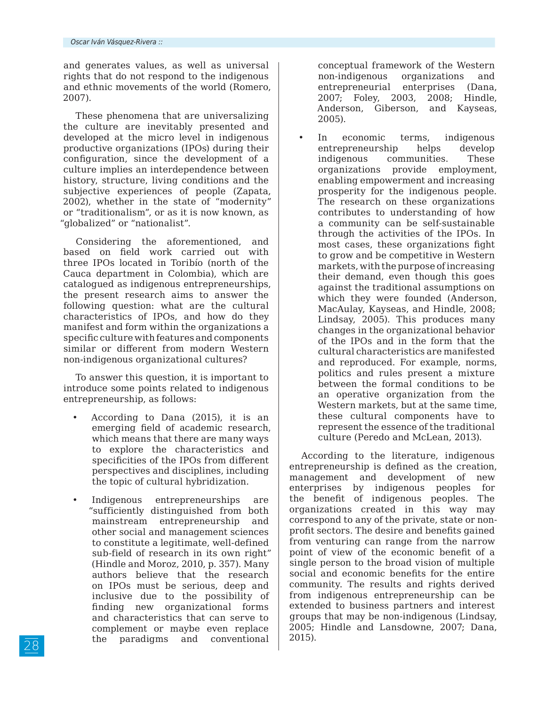and generates values, as well as universal rights that do not respond to the indigenous and ethnic movements of the world (Romero, 2007).

These phenomena that are universalizing the culture are inevitably presented and developed at the micro level in indigenous productive organizations (IPOs) during their configuration, since the development of a culture implies an interdependence between history, structure, living conditions and the subjective experiences of people (Zapata, 2002), whether in the state of "modernity" or "traditionalism", or as it is now known, as "globalized" or "nationalist".

Considering the aforementioned, and based on field work carried out with three IPOs located in Toribío (north of the Cauca department in Colombia), which are catalogued as indigenous entrepreneurships, the present research aims to answer the following question: what are the cultural characteristics of IPOs, and how do they manifest and form within the organizations a specific culture with features and components similar or different from modern Western non-indigenous organizational cultures?

To answer this question, it is important to introduce some points related to indigenous entrepreneurship, as follows:

- According to Dana (2015), it is an emerging field of academic research, which means that there are many ways to explore the characteristics and specificities of the IPOs from different perspectives and disciplines, including the topic of cultural hybridization.
- Indigenous entrepreneurships are "sufficiently distinguished from both mainstream entrepreneurship and other social and management sciences to constitute a legitimate, well-defined sub-field of research in its own right" (Hindle and Moroz, 2010, p. 357). Many authors believe that the research on IPOs must be serious, deep and inclusive due to the possibility of finding new organizational forms and characteristics that can serve to complement or maybe even replace the paradigms and conventional

conceptual framework of the Western non-indigenous organizations and entrepreneurial enterprises (Dana, 2007; Foley, 2003, 2008; Hindle, Anderson, Giberson, and Kayseas, 2005).

In economic terms, indigenous entrepreneurship helps develop indigenous communities. These organizations provide employment, enabling empowerment and increasing prosperity for the indigenous people. The research on these organizations contributes to understanding of how a community can be self-sustainable through the activities of the IPOs. In most cases, these organizations fight to grow and be competitive in Western markets, with the purpose of increasing their demand, even though this goes against the traditional assumptions on which they were founded (Anderson, MacAulay, Kayseas, and Hindle, 2008; Lindsay, 2005). This produces many changes in the organizational behavior of the IPOs and in the form that the cultural characteristics are manifested and reproduced. For example, norms, politics and rules present a mixture between the formal conditions to be an operative organization from the Western markets, but at the same time, these cultural components have to represent the essence of the traditional culture (Peredo and McLean, 2013).

According to the literature, indigenous entrepreneurship is defined as the creation, management and development of new enterprises by indigenous peoples for the benefit of indigenous peoples. The organizations created in this way may correspond to any of the private, state or nonprofit sectors. The desire and benefits gained from venturing can range from the narrow point of view of the economic benefit of a single person to the broad vision of multiple social and economic benefits for the entire community. The results and rights derived from indigenous entrepreneurship can be extended to business partners and interest groups that may be non-indigenous (Lindsay, 2005; Hindle and Lansdowne, 2007; Dana, 2015).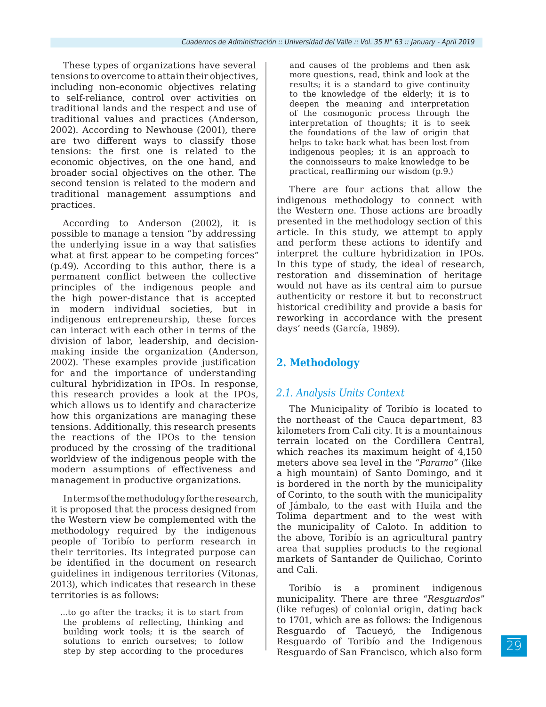These types of organizations have several tensions to overcome to attain their objectives, including non-economic objectives relating to self-reliance, control over activities on traditional lands and the respect and use of traditional values and practices (Anderson, 2002). According to Newhouse (2001), there are two different ways to classify those tensions: the first one is related to the economic objectives, on the one hand, and broader social objectives on the other. The second tension is related to the modern and traditional management assumptions and practices.

According to Anderson (2002), it is possible to manage a tension "by addressing the underlying issue in a way that satisfies what at first appear to be competing forces" (p.49). According to this author, there is a permanent conflict between the collective principles of the indigenous people and the high power-distance that is accepted in modern individual societies, but in indigenous entrepreneurship, these forces can interact with each other in terms of the division of labor, leadership, and decisionmaking inside the organization (Anderson, 2002). These examples provide justification for and the importance of understanding cultural hybridization in IPOs. In response, this research provides a look at the IPOs, which allows us to identify and characterize how this organizations are managing these tensions. Additionally, this research presents the reactions of the IPOs to the tension produced by the crossing of the traditional worldview of the indigenous people with the modern assumptions of effectiveness and management in productive organizations.

In terms of the methodology for the research, it is proposed that the process designed from the Western view be complemented with the methodology required by the indigenous people of Toribío to perform research in their territories. Its integrated purpose can be identified in the document on research guidelines in indigenous territories (Vitonas, 2013), which indicates that research in these territories is as follows:

…to go after the tracks; it is to start from the problems of reflecting, thinking and building work tools; it is the search of solutions to enrich ourselves; to follow step by step according to the procedures

and causes of the problems and then ask more questions, read, think and look at the results; it is a standard to give continuity to the knowledge of the elderly; it is to deepen the meaning and interpretation of the cosmogonic process through the interpretation of thoughts; it is to seek the foundations of the law of origin that helps to take back what has been lost from indigenous peoples; it is an approach to the connoisseurs to make knowledge to be practical, reaffirming our wisdom (p.9.)

There are four actions that allow the indigenous methodology to connect with the Western one. Those actions are broadly presented in the methodology section of this article. In this study, we attempt to apply and perform these actions to identify and interpret the culture hybridization in IPOs. In this type of study, the ideal of research, restoration and dissemination of heritage would not have as its central aim to pursue authenticity or restore it but to reconstruct historical credibility and provide a basis for reworking in accordance with the present days' needs (García, 1989).

## **2. Methodology**

### *2.1. Analysis Units Context*

The Municipality of Toribío is located to the northeast of the Cauca department, 83 kilometers from Cali city. It is a mountainous terrain located on the Cordillera Central, which reaches its maximum height of 4,150 meters above sea level in the "*Paramo"* (like a high mountain) of Santo Domingo, and it is bordered in the north by the municipality of Corinto, to the south with the municipality of Jámbalo, to the east with Huila and the Tolima department and to the west with the municipality of Caloto. In addition to the above, Toribío is an agricultural pantry area that supplies products to the regional markets of Santander de Quilichao, Corinto and Cali.

Toribío is a prominent indigenous municipality. There are three "*Resguardos*" (like refuges) of colonial origin, dating back to 1701, which are as follows: the Indigenous Resguardo of Tacueyó, the Indigenous Resguardo of Toribío and the Indigenous Resguardo of San Francisco, which also form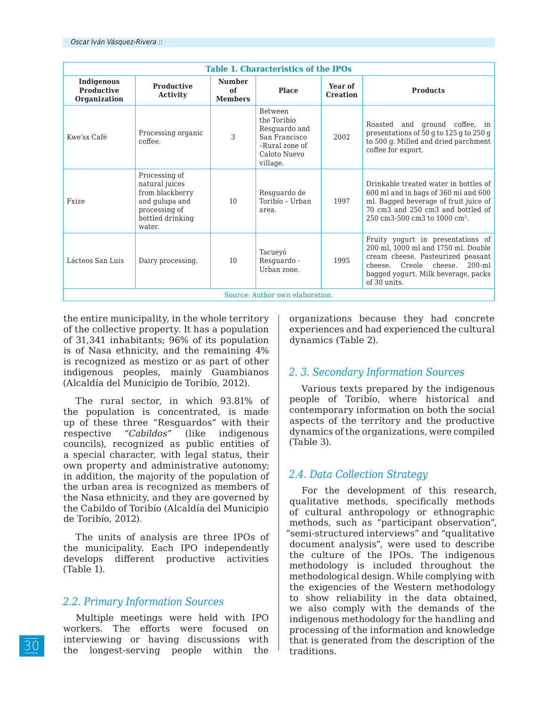| <b>Table 1. Characteristics of the IPOs</b> |                                                                                                                     |                                       |                                                                                                               |                            |                                                                                                                                                                                                              |  |
|---------------------------------------------|---------------------------------------------------------------------------------------------------------------------|---------------------------------------|---------------------------------------------------------------------------------------------------------------|----------------------------|--------------------------------------------------------------------------------------------------------------------------------------------------------------------------------------------------------------|--|
| Indigenous<br>Productive<br>Organization    | <b>Productive</b><br><b>Activity</b>                                                                                | <b>Number</b><br>of<br><b>Members</b> | <b>Place</b>                                                                                                  | Year of<br><b>Creation</b> | <b>Products</b>                                                                                                                                                                                              |  |
| Kwe'sx Café                                 | Processing organic<br>coffee.                                                                                       | 3                                     | <b>Between</b><br>the Toribío<br>Resquardo and<br>San Francisco<br>-Rural zone of<br>Caloto Nuevo<br>village. | 2002                       | Roasted and ground coffee, in<br>presentations of 50 g to 125 g to 250 g<br>to 500 g. Milled and dried parchment<br>coffee for export.                                                                       |  |
| Fxize                                       | Processing of<br>natural juices<br>from blackberry<br>and gulupa and<br>processing of<br>bottled drinking<br>water. | 10                                    | Resquardo de<br>Toribío - Urban<br>area.                                                                      | 1997                       | Drinkable treated water in bottles of<br>600 ml and in bags of 360 ml and 600<br>ml. Bagged beverage of fruit juice of<br>70 cm3 and 250 cm3 and bottled of<br>250 cm3-500 cm3 to 1000 cm <sup>3</sup> .     |  |
| Lácteos San Luis                            | Dairy processing.                                                                                                   | 10                                    | Tacueyó<br>Resquardo -<br>Urban zone.                                                                         | 1995                       | Fruity yogurt in presentations of<br>200 ml, 1000 ml and 1750 ml. Double<br>cream cheese. Pasteurized peasant<br>cheese. Creole cheese.<br>$200 - ml$<br>bagged yogurt. Milk beverage, packs<br>of 30 units. |  |
| Source: Author own elaboration.             |                                                                                                                     |                                       |                                                                                                               |                            |                                                                                                                                                                                                              |  |

the entire municipality, in the whole territory of the collective property. It has a population of 31,341 inhabitants; 96% of its population is of Nasa ethnicity, and the remaining 4% is recognized as mestizo or as part of other indigenous peoples, mainly Guambianos (Alcaldía del Municipio de Toribío, 2012).

The rural sector, in which 93.81% of the population is concentrated, is made up of these three "Resguardos" with their respective *"Cabildos"* (like indigenous councils), recognized as public entities of a special character, with legal status, their own property and administrative autonomy; in addition, the majority of the population of the urban area is recognized as members of the Nasa ethnicity, and they are governed by the Cabildo of Toribío (Alcaldía del Municipio de Toribío, 2012).

The units of analysis are three IPOs of the municipality. Each IPO independently develops different productive activities (Table 1).

#### *2.2. Primary Information Sources*

Multiple meetings were held with IPO workers. The efforts were focused on interviewing or having discussions with the longest-serving people within the

organizations because they had concrete experiences and had experienced the cultural dynamics (Table 2).

#### *2. 3. Secondary Information Sources*

Various texts prepared by the indigenous people of Toribío, where historical and contemporary information on both the social aspects of the territory and the productive dynamics of the organizations, were compiled (Table 3).

### *2.4. Data Collection Strategy*

For the development of this research, qualitative methods, specifically methods of cultural anthropology or ethnographic methods, such as "participant observation", "semi-structured interviews" and "qualitative document analysis", were used to describe the culture of the IPOs. The indigenous methodology is included throughout the methodological design. While complying with the exigencies of the Western methodology to show reliability in the data obtained, we also comply with the demands of the indigenous methodology for the handling and processing of the information and knowledge that is generated from the description of the traditions.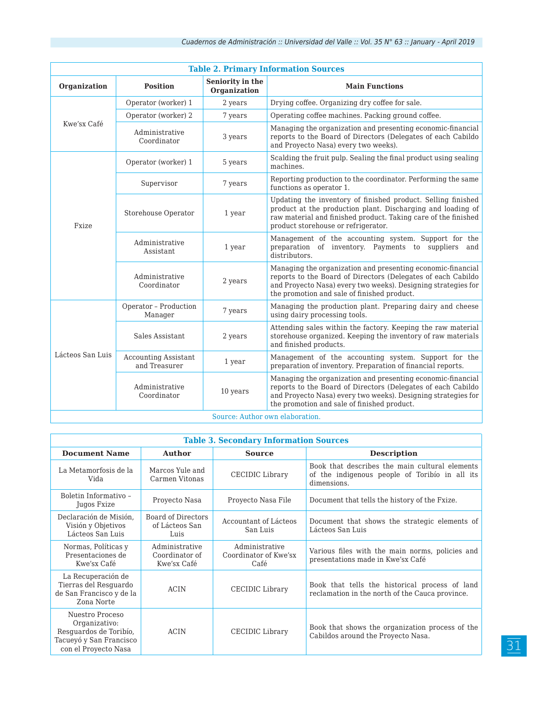| <b>Table 2. Primary Information Sources</b> |                                              |                                                                                                                                                                                                                                                |                                                                                                                                                                                                                                             |  |  |  |
|---------------------------------------------|----------------------------------------------|------------------------------------------------------------------------------------------------------------------------------------------------------------------------------------------------------------------------------------------------|---------------------------------------------------------------------------------------------------------------------------------------------------------------------------------------------------------------------------------------------|--|--|--|
| Organization                                | <b>Position</b>                              | Seniority in the<br>Organization                                                                                                                                                                                                               | <b>Main Functions</b>                                                                                                                                                                                                                       |  |  |  |
| Kwe'sx Café                                 | Operator (worker) 1                          | 2 years                                                                                                                                                                                                                                        | Drying coffee. Organizing dry coffee for sale.                                                                                                                                                                                              |  |  |  |
|                                             | Operator (worker) 2                          | 7 years                                                                                                                                                                                                                                        | Operating coffee machines. Packing ground coffee.                                                                                                                                                                                           |  |  |  |
|                                             | Administrative<br>Coordinator                | 3 years                                                                                                                                                                                                                                        | Managing the organization and presenting economic-financial<br>reports to the Board of Directors (Delegates of each Cabildo<br>and Proyecto Nasa) every two weeks).                                                                         |  |  |  |
| Fxize                                       | Operator (worker) 1                          | 5 years                                                                                                                                                                                                                                        | Scalding the fruit pulp. Sealing the final product using sealing<br>machines.                                                                                                                                                               |  |  |  |
|                                             | Supervisor                                   | 7 years                                                                                                                                                                                                                                        | Reporting production to the coordinator. Performing the same<br>functions as operator 1.                                                                                                                                                    |  |  |  |
|                                             | Storehouse Operator                          | Updating the inventory of finished product. Selling finished<br>product at the production plant. Discharging and loading of<br>1 year<br>raw material and finished product. Taking care of the finished<br>product storehouse or refrigerator. |                                                                                                                                                                                                                                             |  |  |  |
|                                             | Administrative<br>Assistant                  | 1 year                                                                                                                                                                                                                                         | Management of the accounting system. Support for the<br>preparation of inventory. Payments to suppliers and<br>distributors.                                                                                                                |  |  |  |
|                                             | Administrative<br>Coordinator                | 2 years                                                                                                                                                                                                                                        | Managing the organization and presenting economic-financial<br>reports to the Board of Directors (Delegates of each Cabildo<br>and Proyecto Nasa) every two weeks). Designing strategies for<br>the promotion and sale of finished product. |  |  |  |
| Lácteos San Luis                            | Operator - Production<br>Manager             | 7 years                                                                                                                                                                                                                                        | Managing the production plant. Preparing dairy and cheese<br>using dairy processing tools.                                                                                                                                                  |  |  |  |
|                                             | Sales Assistant                              | 2 years                                                                                                                                                                                                                                        | Attending sales within the factory. Keeping the raw material<br>storehouse organized. Keeping the inventory of raw materials<br>and finished products.                                                                                      |  |  |  |
|                                             | <b>Accounting Assistant</b><br>and Treasurer | 1 year                                                                                                                                                                                                                                         | Management of the accounting system. Support for the<br>preparation of inventory. Preparation of financial reports.                                                                                                                         |  |  |  |
|                                             | Administrative<br>Coordinator                | 10 years                                                                                                                                                                                                                                       | Managing the organization and presenting economic-financial<br>reports to the Board of Directors (Delegates of each Cabildo<br>and Proyecto Nasa) every two weeks). Designing strategies for<br>the promotion and sale of finished product. |  |  |  |
| Source: Author own elaboration.             |                                              |                                                                                                                                                                                                                                                |                                                                                                                                                                                                                                             |  |  |  |

| <b>Table 3. Secondary Information Sources</b>                                                                 |                                                 |                                                 |                                                                                                                 |  |  |
|---------------------------------------------------------------------------------------------------------------|-------------------------------------------------|-------------------------------------------------|-----------------------------------------------------------------------------------------------------------------|--|--|
| <b>Document Name</b>                                                                                          | <b>Author</b><br><b>Source</b>                  |                                                 | <b>Description</b>                                                                                              |  |  |
| La Metamorfosis de la<br>Vida                                                                                 | Marcos Yule and<br>Carmen Vitonas               | CECIDIC Library                                 | Book that describes the main cultural elements<br>of the indigenous people of Toribío in all its<br>dimensions. |  |  |
| Boletin Informativo -<br>Jugos Fxize                                                                          | Proyecto Nasa                                   | Proyecto Nasa File                              | Document that tells the history of the Fxize.                                                                   |  |  |
| Declaración de Misión.<br>Visión y Objetivos<br>Lácteos San Luis                                              | Board of Directors<br>of Lácteos San<br>Luis    | Accountant of Lácteos<br>San Luis               | Document that shows the strategic elements of<br>Lácteos San Luis                                               |  |  |
| Normas, Políticas y<br>Presentaciones de<br>Kwe'sx Café                                                       | Administrative<br>Coordinator of<br>Kwe'sx Café | Administrative<br>Coordinator of Kwe'sx<br>Café | Various files with the main norms, policies and<br>presentations made in Kwe'sx Café                            |  |  |
| La Recuperación de<br>Tierras del Resguardo<br>de San Francisco y de la<br>Zona Norte                         | <b>ACIN</b>                                     | CECIDIC Library                                 | Book that tells the historical process of land<br>reclamation in the north of the Cauca province.               |  |  |
| Nuestro Proceso<br>Organizativo:<br>Resguardos de Toribío,<br>Tacueyó y San Francisco<br>con el Proyecto Nasa | <b>ACIN</b>                                     | CECIDIC Library                                 | Book that shows the organization process of the<br>Cabildos around the Proyecto Nasa.                           |  |  |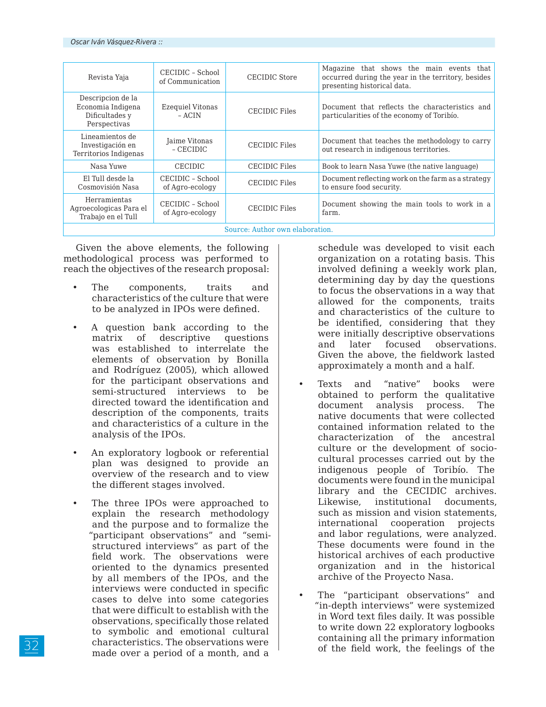| Revista Yaja                                                             | CECIDIC - School<br>of Communication | CECIDIC Store        | Magazine that shows the main events that<br>occurred during the year in the territory, besides<br>presenting historical data. |  |
|--------------------------------------------------------------------------|--------------------------------------|----------------------|-------------------------------------------------------------------------------------------------------------------------------|--|
| Descripcion de la<br>Economia Indigena<br>Dificultades y<br>Perspectivas | Ezeguiel Vitonas<br>– ACIN           | CECIDIC Files        | Document that reflects the characteristics and<br>particularities of the economy of Toribio.                                  |  |
| Lineamientos de<br>Investigación en<br>Territorios Indigenas             | Jaime Vitonas<br>- CECIDIC           | <b>CECIDIC Files</b> | Document that teaches the methodology to carry<br>out research in indigenous territories.                                     |  |
| Nasa Yuwe                                                                | <b>CECIDIC</b>                       | CECIDIC Files        | Book to learn Nasa Yuwe (the native language)                                                                                 |  |
| El Tull desde la<br>Cosmovisión Nasa                                     | CECIDIC - School<br>of Agro-ecology  | <b>CECIDIC Files</b> | Document reflecting work on the farm as a strategy<br>to ensure food security.                                                |  |
| Herramientas<br>Agroecologicas Para el<br>Trabajo en el Tull             | CECIDIC - School<br>of Agro-ecology  | CECIDIC Files        | Document showing the main tools to work in a<br>farm.                                                                         |  |
| Source: Author own elaboration.                                          |                                      |                      |                                                                                                                               |  |

Given the above elements, the following methodological process was performed to reach the objectives of the research proposal:

- The components, traits and characteristics of the culture that were to be analyzed in IPOs were defined.
- A question bank according to the matrix of descriptive questions was established to interrelate the elements of observation by Bonilla and Rodríguez (2005), which allowed for the participant observations and semi-structured interviews to be directed toward the identification and description of the components, traits and characteristics of a culture in the analysis of the IPOs.
- An exploratory logbook or referential plan was designed to provide an overview of the research and to view the different stages involved.
- The three IPOs were approached to explain the research methodology and the purpose and to formalize the "participant observations" and "semistructured interviews" as part of the field work. The observations were oriented to the dynamics presented by all members of the IPOs, and the interviews were conducted in specific cases to delve into some categories that were difficult to establish with the observations, specifically those related to symbolic and emotional cultural characteristics. The observations were made over a period of a month, and a

schedule was developed to visit each organization on a rotating basis. This involved defining a weekly work plan, determining day by day the questions to focus the observations in a way that allowed for the components, traits and characteristics of the culture to be identified, considering that they were initially descriptive observations and later focused observations. Given the above, the fieldwork lasted approximately a month and a half.

- Texts and "native" books were obtained to perform the qualitative document analysis process. The native documents that were collected contained information related to the characterization of the ancestral culture or the development of sociocultural processes carried out by the indigenous people of Toribío. The documents were found in the municipal library and the CECIDIC archives. Likewise, institutional documents, such as mission and vision statements, international cooperation projects and labor regulations, were analyzed. These documents were found in the historical archives of each productive organization and in the historical archive of the Proyecto Nasa.
- The "participant observations" and "in-depth interviews" were systemized in Word text files daily. It was possible to write down 22 exploratory logbooks containing all the primary information of the field work, the feelings of the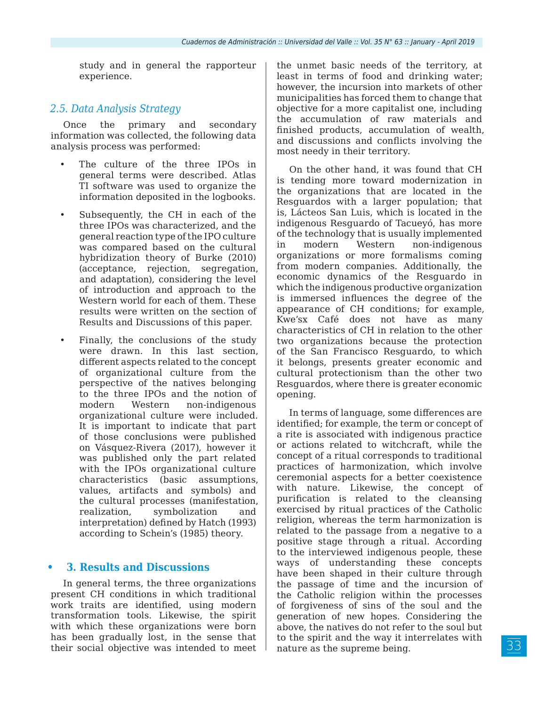study and in general the rapporteur experience.

#### *2.5. Data Analysis Strategy*

Once the primary and secondary information was collected, the following data analysis process was performed:

- The culture of the three IPOs in general terms were described. Atlas TI software was used to organize the information deposited in the logbooks.
- Subsequently, the CH in each of the three IPOs was characterized, and the general reaction type of the IPO culture was compared based on the cultural hybridization theory of Burke (2010) (acceptance, rejection, segregation, and adaptation), considering the level of introduction and approach to the Western world for each of them. These results were written on the section of Results and Discussions of this paper.
- Finally, the conclusions of the study were drawn. In this last section, different aspects related to the concept of organizational culture from the perspective of the natives belonging to the three IPOs and the notion of modern Western non-indigenous organizational culture were included. It is important to indicate that part of those conclusions were published on Vásquez-Rivera (2017), however it was published only the part related with the IPOs organizational culture characteristics (basic assumptions, values, artifacts and symbols) and the cultural processes (manifestation, realization, symbolization and interpretation) defined by Hatch (1993) according to Schein's (1985) theory.

#### **• 3. Results and Discussions**

In general terms, the three organizations present CH conditions in which traditional work traits are identified, using modern transformation tools. Likewise, the spirit with which these organizations were born has been gradually lost, in the sense that their social objective was intended to meet

the unmet basic needs of the territory, at least in terms of food and drinking water; however, the incursion into markets of other municipalities has forced them to change that objective for a more capitalist one, including the accumulation of raw materials and finished products, accumulation of wealth, and discussions and conflicts involving the most needy in their territory.

On the other hand, it was found that CH is tending more toward modernization in the organizations that are located in the Resguardos with a larger population; that is, Lácteos San Luis, which is located in the indigenous Resguardo of Tacueyó, has more of the technology that is usually implemented in modern Western non-indigenous organizations or more formalisms coming from modern companies. Additionally, the economic dynamics of the Resguardo in which the indigenous productive organization is immersed influences the degree of the appearance of CH conditions; for example, Kwe'sx Café does not have as many characteristics of CH in relation to the other two organizations because the protection of the San Francisco Resguardo, to which it belongs, presents greater economic and cultural protectionism than the other two Resguardos, where there is greater economic opening.

In terms of language, some differences are identified; for example, the term or concept of a rite is associated with indigenous practice or actions related to witchcraft, while the concept of a ritual corresponds to traditional practices of harmonization, which involve ceremonial aspects for a better coexistence with nature. Likewise, the concept of purification is related to the cleansing exercised by ritual practices of the Catholic religion, whereas the term harmonization is related to the passage from a negative to a positive stage through a ritual. According to the interviewed indigenous people, these ways of understanding these concepts have been shaped in their culture through the passage of time and the incursion of the Catholic religion within the processes of forgiveness of sins of the soul and the generation of new hopes. Considering the above, the natives do not refer to the soul but to the spirit and the way it interrelates with nature as the supreme being.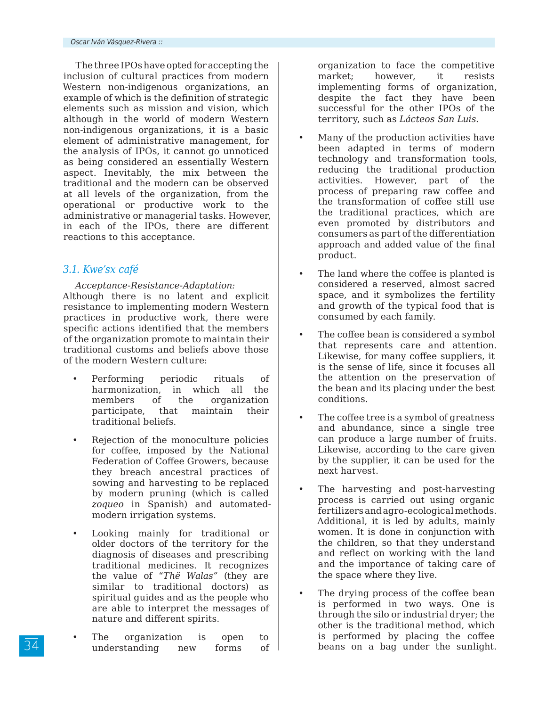The three IPOs have opted for accepting the inclusion of cultural practices from modern Western non-indigenous organizations, an example of which is the definition of strategic elements such as mission and vision, which although in the world of modern Western non-indigenous organizations, it is a basic element of administrative management, for the analysis of IPOs, it cannot go unnoticed as being considered an essentially Western aspect. Inevitably, the mix between the traditional and the modern can be observed at all levels of the organization, from the operational or productive work to the administrative or managerial tasks. However, in each of the IPOs, there are different reactions to this acceptance.

### *3.1. Kwe'sx café*

*Acceptance-Resistance-Adaptation:* Although there is no latent and explicit resistance to implementing modern Western practices in productive work, there were specific actions identified that the members of the organization promote to maintain their traditional customs and beliefs above those of the modern Western culture:

- Performing periodic rituals of harmonization, in which all the members of the organization participate, that maintain their traditional beliefs.
- Rejection of the monoculture policies for coffee, imposed by the National Federation of Coffee Growers, because they breach ancestral practices of sowing and harvesting to be replaced by modern pruning (which is called *zoqueo* in Spanish) and automatedmodern irrigation systems.
- Looking mainly for traditional or older doctors of the territory for the diagnosis of diseases and prescribing traditional medicines. It recognizes the value of "*Thë Walas"* (they are similar to traditional doctors) as spiritual guides and as the people who are able to interpret the messages of nature and different spirits.
- The organization is open to understanding new forms of

organization to face the competitive market; however, it resists implementing forms of organization, despite the fact they have been successful for the other IPOs of the territory, such as *Lácteos San Luis*.

- Many of the production activities have been adapted in terms of modern technology and transformation tools, reducing the traditional production activities. However, part of the process of preparing raw coffee and the transformation of coffee still use the traditional practices, which are even promoted by distributors and consumers as part of the differentiation approach and added value of the final product.
- The land where the coffee is planted is considered a reserved, almost sacred space, and it symbolizes the fertility and growth of the typical food that is consumed by each family.
- The coffee bean is considered a symbol that represents care and attention. Likewise, for many coffee suppliers, it is the sense of life, since it focuses all the attention on the preservation of the bean and its placing under the best conditions.
- The coffee tree is a symbol of greatness and abundance, since a single tree can produce a large number of fruits. Likewise, according to the care given by the supplier, it can be used for the next harvest.
- The harvesting and post-harvesting process is carried out using organic fertilizers and agro-ecological methods. Additional, it is led by adults, mainly women. It is done in conjunction with the children, so that they understand and reflect on working with the land and the importance of taking care of the space where they live.
- The drying process of the coffee bean is performed in two ways. One is through the silo or industrial dryer; the other is the traditional method, which is performed by placing the coffee beans on a bag under the sunlight.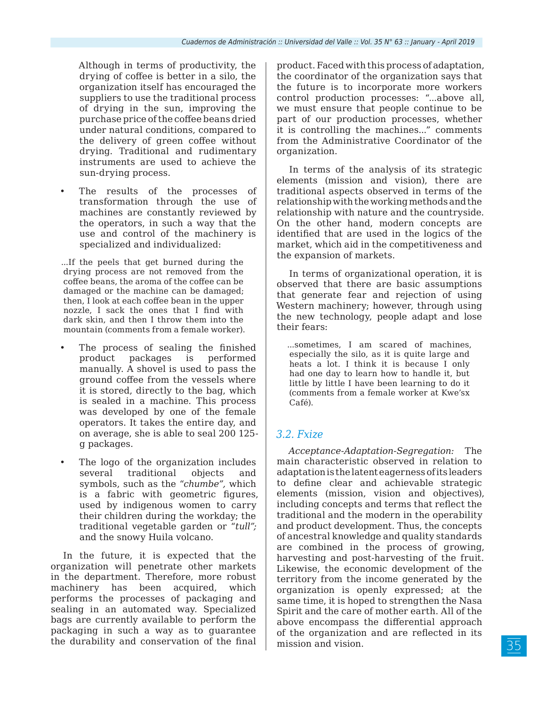Although in terms of productivity, the drying of coffee is better in a silo, the organization itself has encouraged the suppliers to use the traditional process of drying in the sun, improving the purchase price of the coffee beans dried under natural conditions, compared to the delivery of green coffee without drying. Traditional and rudimentary instruments are used to achieve the sun-drying process.

The results of the processes of transformation through the use of machines are constantly reviewed by the operators, in such a way that the use and control of the machinery is specialized and individualized:

...If the peels that get burned during the drying process are not removed from the coffee beans, the aroma of the coffee can be damaged or the machine can be damaged; then, I look at each coffee bean in the upper nozzle, I sack the ones that I find with dark skin, and then I throw them into the mountain (comments from a female worker).

- The process of sealing the finished product packages is performed manually. A shovel is used to pass the ground coffee from the vessels where it is stored, directly to the bag, which is sealed in a machine. This process was developed by one of the female operators. It takes the entire day, and on average, she is able to seal 200 125 g packages.
- The logo of the organization includes several traditional objects and symbols, such as the "*chumbe",* which is a fabric with geometric figures, used by indigenous women to carry their children during the workday; the traditional vegetable garden or "*tull";* and the snowy Huila volcano.

In the future, it is expected that the organization will penetrate other markets in the department. Therefore, more robust machinery has been acquired, which performs the processes of packaging and sealing in an automated way. Specialized bags are currently available to perform the packaging in such a way as to guarantee the durability and conservation of the final product. Faced with this process of adaptation, the coordinator of the organization says that the future is to incorporate more workers control production processes: "...above all, we must ensure that people continue to be part of our production processes, whether it is controlling the machines..." comments from the Administrative Coordinator of the organization.

In terms of the analysis of its strategic elements (mission and vision), there are traditional aspects observed in terms of the relationship with the working methods and the relationship with nature and the countryside. On the other hand, modern concepts are identified that are used in the logics of the market, which aid in the competitiveness and the expansion of markets.

In terms of organizational operation, it is observed that there are basic assumptions that generate fear and rejection of using Western machinery; however, through using the new technology, people adapt and lose their fears:

...sometimes, I am scared of machines, especially the silo, as it is quite large and heats a lot. I think it is because I only had one day to learn how to handle it, but little by little I have been learning to do it (comments from a female worker at Kwe'sx Café).

### *3.2. Fxize*

*Acceptance-Adaptation-Segregation:* The main characteristic observed in relation to adaptation is the latent eagerness of its leaders to define clear and achievable strategic elements (mission, vision and objectives), including concepts and terms that reflect the traditional and the modern in the operability and product development. Thus, the concepts of ancestral knowledge and quality standards are combined in the process of growing, harvesting and post-harvesting of the fruit. Likewise, the economic development of the territory from the income generated by the organization is openly expressed; at the same time, it is hoped to strengthen the Nasa Spirit and the care of mother earth. All of the above encompass the differential approach of the organization and are reflected in its mission and vision.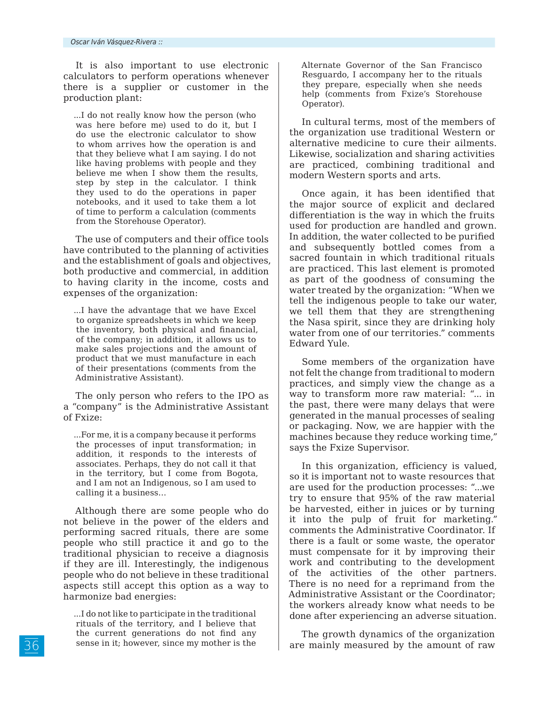It is also important to use electronic calculators to perform operations whenever there is a supplier or customer in the production plant:

...I do not really know how the person (who was here before me) used to do it, but I do use the electronic calculator to show to whom arrives how the operation is and that they believe what I am saying. I do not like having problems with people and they believe me when I show them the results, step by step in the calculator. I think they used to do the operations in paper notebooks, and it used to take them a lot of time to perform a calculation (comments from the Storehouse Operator).

The use of computers and their office tools have contributed to the planning of activities and the establishment of goals and objectives, both productive and commercial, in addition to having clarity in the income, costs and expenses of the organization:

...I have the advantage that we have Excel to organize spreadsheets in which we keep the inventory, both physical and financial, of the company; in addition, it allows us to make sales projections and the amount of product that we must manufacture in each of their presentations (comments from the Administrative Assistant).

The only person who refers to the IPO as a "company" is the Administrative Assistant of Fxize:

...For me, it is a company because it performs the processes of input transformation; in addition, it responds to the interests of associates. Perhaps, they do not call it that in the territory, but I come from Bogota, and I am not an Indigenous, so I am used to calling it a business…

Although there are some people who do not believe in the power of the elders and performing sacred rituals, there are some people who still practice it and go to the traditional physician to receive a diagnosis if they are ill. Interestingly, the indigenous people who do not believe in these traditional aspects still accept this option as a way to harmonize bad energies:

Alternate Governor of the San Francisco Resguardo, I accompany her to the rituals they prepare, especially when she needs help (comments from Fxize's Storehouse Operator).

In cultural terms, most of the members of the organization use traditional Western or alternative medicine to cure their ailments. Likewise, socialization and sharing activities are practiced, combining traditional and modern Western sports and arts.

Once again, it has been identified that the major source of explicit and declared differentiation is the way in which the fruits used for production are handled and grown. In addition, the water collected to be purified and subsequently bottled comes from a sacred fountain in which traditional rituals are practiced. This last element is promoted as part of the goodness of consuming the water treated by the organization: "When we tell the indigenous people to take our water, we tell them that they are strengthening the Nasa spirit, since they are drinking holy water from one of our territories." comments Edward Yule.

Some members of the organization have not felt the change from traditional to modern practices, and simply view the change as a way to transform more raw material: "... in the past, there were many delays that were generated in the manual processes of sealing or packaging. Now, we are happier with the machines because they reduce working time," says the Fxize Supervisor.

In this organization, efficiency is valued, so it is important not to waste resources that are used for the production processes: "...we try to ensure that 95% of the raw material be harvested, either in juices or by turning it into the pulp of fruit for marketing." comments the Administrative Coordinator. If there is a fault or some waste, the operator must compensate for it by improving their work and contributing to the development of the activities of the other partners. There is no need for a reprimand from the Administrative Assistant or the Coordinator; the workers already know what needs to be done after experiencing an adverse situation.

The growth dynamics of the organization are mainly measured by the amount of raw

<sup>...</sup>I do not like to participate in the traditional rituals of the territory, and I believe that the current generations do not find any sense in it; however, since my mother is the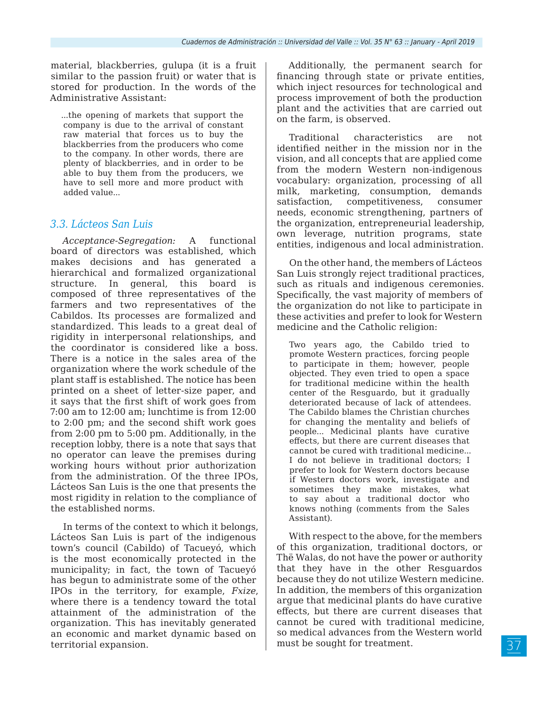material, blackberries, gulupa (it is a fruit similar to the passion fruit) or water that is stored for production. In the words of the Administrative Assistant:

...the opening of markets that support the company is due to the arrival of constant raw material that forces us to buy the blackberries from the producers who come to the company. In other words, there are plenty of blackberries, and in order to be able to buy them from the producers, we have to sell more and more product with added value...

### *3.3. Lácteos San Luis*

*Acceptance-Segregation:* A functional board of directors was established, which makes decisions and has generated a hierarchical and formalized organizational structure. In general, this board is composed of three representatives of the farmers and two representatives of the Cabildos. Its processes are formalized and standardized. This leads to a great deal of rigidity in interpersonal relationships, and the coordinator is considered like a boss. There is a notice in the sales area of the organization where the work schedule of the plant staff is established. The notice has been printed on a sheet of letter-size paper, and it says that the first shift of work goes from 7:00 am to 12:00 am; lunchtime is from 12:00 to 2:00 pm; and the second shift work goes from 2:00 pm to 5:00 pm. Additionally, in the reception lobby, there is a note that says that no operator can leave the premises during working hours without prior authorization from the administration. Of the three IPOs, Lácteos San Luis is the one that presents the most rigidity in relation to the compliance of the established norms.

In terms of the context to which it belongs, Lácteos San Luis is part of the indigenous town's council (Cabildo) of Tacueyó, which is the most economically protected in the municipality; in fact, the town of Tacueyó has begun to administrate some of the other IPOs in the territory, for example, *Fxize*, where there is a tendency toward the total attainment of the administration of the organization. This has inevitably generated an economic and market dynamic based on territorial expansion.

Additionally, the permanent search for financing through state or private entities, which inject resources for technological and process improvement of both the production plant and the activities that are carried out on the farm, is observed.

Traditional characteristics are not identified neither in the mission nor in the vision, and all concepts that are applied come from the modern Western non-indigenous vocabulary: organization, processing of all milk, marketing, consumption, demands satisfaction, competitiveness, consumer needs, economic strengthening, partners of the organization, entrepreneurial leadership, own leverage, nutrition programs, state entities, indigenous and local administration.

On the other hand, the members of Lácteos San Luis strongly reject traditional practices, such as rituals and indigenous ceremonies. Specifically, the vast majority of members of the organization do not like to participate in these activities and prefer to look for Western medicine and the Catholic religion:

Two years ago, the Cabildo tried to promote Western practices, forcing people to participate in them; however, people objected. They even tried to open a space for traditional medicine within the health center of the Resguardo, but it gradually deteriorated because of lack of attendees. The Cabildo blames the Christian churches for changing the mentality and beliefs of people... Medicinal plants have curative effects, but there are current diseases that cannot be cured with traditional medicine... I do not believe in traditional doctors; I prefer to look for Western doctors because if Western doctors work, investigate and sometimes they make mistakes, what to say about a traditional doctor who knows nothing (comments from the Sales Assistant).

With respect to the above, for the members of this organization, traditional doctors, or Thë Walas, do not have the power or authority that they have in the other Resguardos because they do not utilize Western medicine. In addition, the members of this organization argue that medicinal plants do have curative effects, but there are current diseases that cannot be cured with traditional medicine, so medical advances from the Western world must be sought for treatment.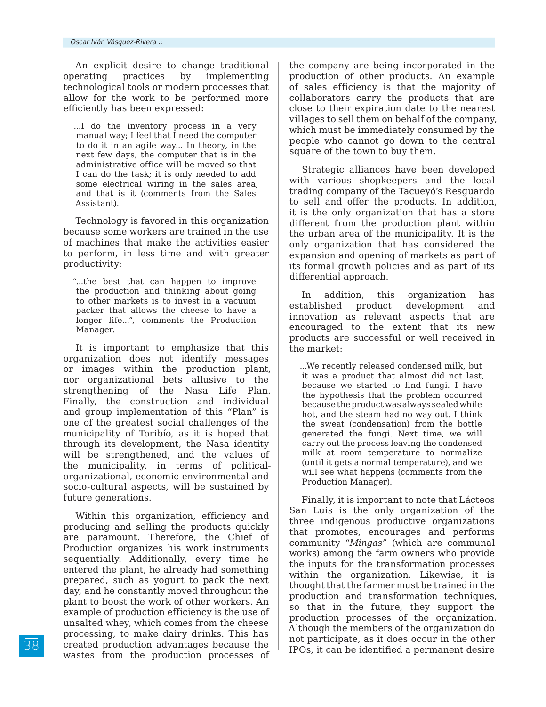An explicit desire to change traditional operating practices by implementing technological tools or modern processes that allow for the work to be performed more efficiently has been expressed:

...I do the inventory process in a very manual way; I feel that I need the computer to do it in an agile way... In theory, in the next few days, the computer that is in the administrative office will be moved so that I can do the task; it is only needed to add some electrical wiring in the sales area, and that is it (comments from the Sales Assistant).

Technology is favored in this organization because some workers are trained in the use of machines that make the activities easier to perform, in less time and with greater productivity:

"...the best that can happen to improve the production and thinking about going to other markets is to invest in a vacuum packer that allows the cheese to have a longer life...", comments the Production Manager.

It is important to emphasize that this organization does not identify messages or images within the production plant, nor organizational bets allusive to the strengthening of the Nasa Life Plan. Finally, the construction and individual and group implementation of this "Plan" is one of the greatest social challenges of the municipality of Toribío, as it is hoped that through its development, the Nasa identity will be strengthened, and the values of the municipality, in terms of politicalorganizational, economic-environmental and socio-cultural aspects, will be sustained by future generations.

Within this organization, efficiency and producing and selling the products quickly are paramount. Therefore, the Chief of Production organizes his work instruments sequentially. Additionally, every time he entered the plant, he already had something prepared, such as yogurt to pack the next day, and he constantly moved throughout the plant to boost the work of other workers. An example of production efficiency is the use of unsalted whey, which comes from the cheese processing, to make dairy drinks. This has created production advantages because the wastes from the production processes of the company are being incorporated in the production of other products. An example of sales efficiency is that the majority of collaborators carry the products that are close to their expiration date to the nearest villages to sell them on behalf of the company, which must be immediately consumed by the people who cannot go down to the central square of the town to buy them.

Strategic alliances have been developed with various shopkeepers and the local trading company of the Tacueyó's Resguardo to sell and offer the products. In addition, it is the only organization that has a store different from the production plant within the urban area of the municipality. It is the only organization that has considered the expansion and opening of markets as part of its formal growth policies and as part of its differential approach.

In addition, this organization has established product development and innovation as relevant aspects that are encouraged to the extent that its new products are successful or well received in the market:

...We recently released condensed milk, but it was a product that almost did not last, because we started to find fungi. I have the hypothesis that the problem occurred because the product was always sealed while hot, and the steam had no way out. I think the sweat (condensation) from the bottle generated the fungi. Next time, we will carry out the process leaving the condensed milk at room temperature to normalize (until it gets a normal temperature), and we will see what happens (comments from the Production Manager).

Finally, it is important to note that Lácteos San Luis is the only organization of the three indigenous productive organizations that promotes, encourages and performs community "*Mingas"* (which are communal works) among the farm owners who provide the inputs for the transformation processes within the organization. Likewise, it is thought that the farmer must be trained in the production and transformation techniques, so that in the future, they support the production processes of the organization. Although the members of the organization do not participate, as it does occur in the other IPOs, it can be identified a permanent desire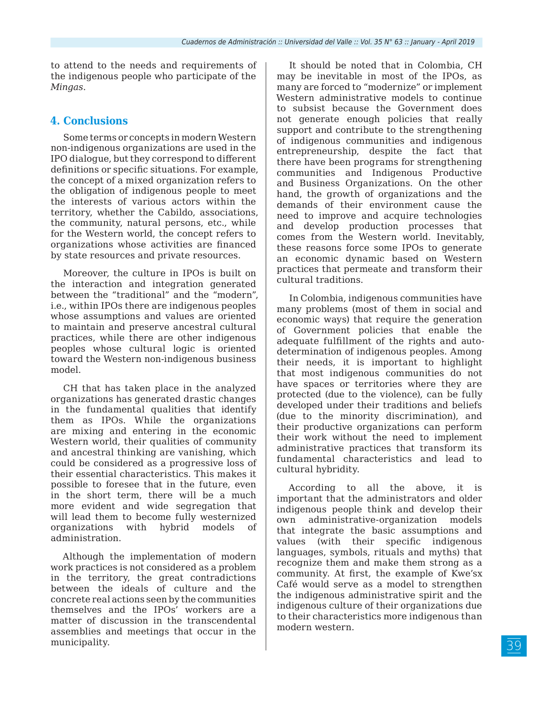to attend to the needs and requirements of the indigenous people who participate of the *Mingas*.

#### **4. Conclusions**

Some terms or concepts in modern Western non-indigenous organizations are used in the IPO dialogue, but they correspond to different definitions or specific situations. For example, the concept of a mixed organization refers to the obligation of indigenous people to meet the interests of various actors within the territory, whether the Cabildo, associations, the community, natural persons, etc., while for the Western world, the concept refers to organizations whose activities are financed by state resources and private resources.

Moreover, the culture in IPOs is built on the interaction and integration generated between the "traditional" and the "modern", i.e., within IPOs there are indigenous peoples whose assumptions and values are oriented to maintain and preserve ancestral cultural practices, while there are other indigenous peoples whose cultural logic is oriented toward the Western non-indigenous business model.

CH that has taken place in the analyzed organizations has generated drastic changes in the fundamental qualities that identify them as IPOs. While the organizations are mixing and entering in the economic Western world, their qualities of community and ancestral thinking are vanishing, which could be considered as a progressive loss of their essential characteristics. This makes it possible to foresee that in the future, even in the short term, there will be a much more evident and wide segregation that will lead them to become fully westernized organizations with hybrid models of administration.

Although the implementation of modern work practices is not considered as a problem in the territory, the great contradictions between the ideals of culture and the concrete real actions seen by the communities themselves and the IPOs' workers are a matter of discussion in the transcendental assemblies and meetings that occur in the municipality.

It should be noted that in Colombia, CH may be inevitable in most of the IPOs, as many are forced to "modernize" or implement Western administrative models to continue to subsist because the Government does not generate enough policies that really support and contribute to the strengthening of indigenous communities and indigenous entrepreneurship, despite the fact that there have been programs for strengthening communities and Indigenous Productive and Business Organizations. On the other hand, the growth of organizations and the demands of their environment cause the need to improve and acquire technologies and develop production processes that comes from the Western world. Inevitably, these reasons force some IPOs to generate an economic dynamic based on Western practices that permeate and transform their cultural traditions.

In Colombia, indigenous communities have many problems (most of them in social and economic ways) that require the generation of Government policies that enable the adequate fulfillment of the rights and autodetermination of indigenous peoples. Among their needs, it is important to highlight that most indigenous communities do not have spaces or territories where they are protected (due to the violence), can be fully developed under their traditions and beliefs (due to the minority discrimination), and their productive organizations can perform their work without the need to implement administrative practices that transform its fundamental characteristics and lead to cultural hybridity.

According to all the above, it is important that the administrators and older indigenous people think and develop their own administrative-organization models that integrate the basic assumptions and values (with their specific indigenous languages, symbols, rituals and myths) that recognize them and make them strong as a community. At first, the example of Kwe'sx Café would serve as a model to strengthen the indigenous administrative spirit and the indigenous culture of their organizations due to their characteristics more indigenous than modern western.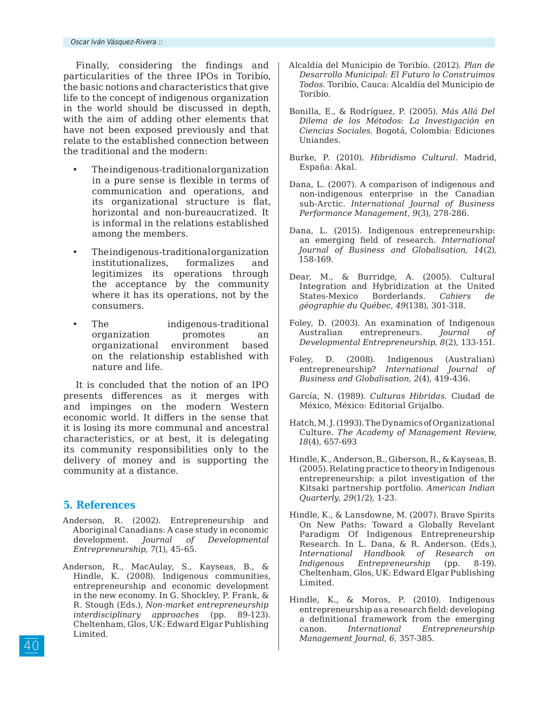Finally, considering the findings and particularities of the three IPOs in Toribío, the basic notions and characteristics that give life to the concept of indigenous organization in the world should be discussed in depth, with the aim of adding other elements that have not been exposed previously and that relate to the established connection between the traditional and the modern:

- The indigenous-traditional organization in a pure sense is flexible in terms of communication and operations, and its organizational structure is flat, horizontal and non-bureaucratized. It is informal in the relations established among the members.
- The indigenous-traditional organization institutionalizes, formalizes and legitimizes its operations through the acceptance by the community where it has its operations, not by the consumers.
- The indigenous-traditional organization promotes an organizational environment based on the relationship established with nature and life.

It is concluded that the notion of an IPO presents differences as it merges with and impinges on the modern Western economic world. It differs in the sense that it is losing its more communal and ancestral characteristics, or at best, it is delegating its community responsibilities only to the delivery of money and is supporting the community at a distance.

#### **5. References**

- Anderson, R. (2002). Entrepreneurship and Aboriginal Canadians: A case study in economic development. *Journal of Developmental Entrepreneurship, 7*(1), 45-65.
- Anderson, R., MacAulay, S., Kayseas, B., & Hindle, K. (2008). Indigenous communities, entrepreneurship and economic development in the new economy. In G. Shockley, P. Frank, & R. Stough (Eds.), *Non-market entrepreneurship interdisciplinary approaches* (pp. 89-123). Cheltenham, Glos, UK: Edward Elgar Publishing Limited.
- Alcaldía del Municipio de Toribío. (2012). *Plan de Desarrollo Municipal: El Futuro lo Construimos Todos.* Toribío, Cauca: Alcaldía del Municipio de Toribío.
- Bonilla, E., & Rodríguez, P. (2005). *Más Allá Del Dilema de los Métodos: La Investigación en Ciencias Sociales.* Bogotá, Colombia: Ediciones Uniandes.
- Burke, P. (2010). *Hibridismo Cultural.* Madrid, España: Akal.
- Dana, L. (2007). A comparison of indigenous and non-indigenous enterprise in the Canadian sub-Arctic. *International Journal of Business Performance Management, 9*(3), 278-286.
- Dana, L. (2015). Indigenous entrepreneurship: an emerging field of research. *International Journal of Business and Globalisation, 14*(2), 158-169.
- Dear, M., & Burridge, A. (2005). Cultural Integration and Hybridization at the United States-Mexico Borderlands. *Cahiers de géographie du Québec, 49*(138), 301-318.
- Foley, D. (2003). An examination of Indigenous Australian entrepreneurs. *Journal of Developmental Entrepreneurship, 8*(2), 133-151.
- Foley, D. (2008). Indigenous (Australian) entrepreneurship? *International Journal of Business and Globalisation, 2*(4), 419-436.
- García, N. (1989). *Culturas Hibridas.* Ciudad de México, México: Editorial Grijalbo.
- Hatch, M. J. (1993). The Dynamics of Organizational Culture. *The Academy of Management Review, 18*(4), 657-693
- Hindle, K., Anderson, R., Giberson, R., & Kayseas, B. (2005). Relating practice to theory in Indigenous entrepreneurship: a pilot investigation of the Kitsaki partnership portfolio. *American Indian Quarterly, 29*(1/2), 1-23.
- Hindle, K., & Lansdowne, M. (2007). Brave Spirits On New Paths: Toward a Globally Revelant Paradigm Of Indigenous Entrepreneurship Research. In L. Dana, & R. Anderson. (Eds.), *International Handbook of Research on Indigenous Entrepreneurship* (pp. 8-19). Cheltenham, Glos, UK: Edward Elgar Publishing Limited.
- Hindle, K., & Moros, P. (2010). Indigenous entrepreneurship as a research field: developing a definitional framework from the emerging canon. *International Entrepreneurship Management Journal, 6*, 357-385.